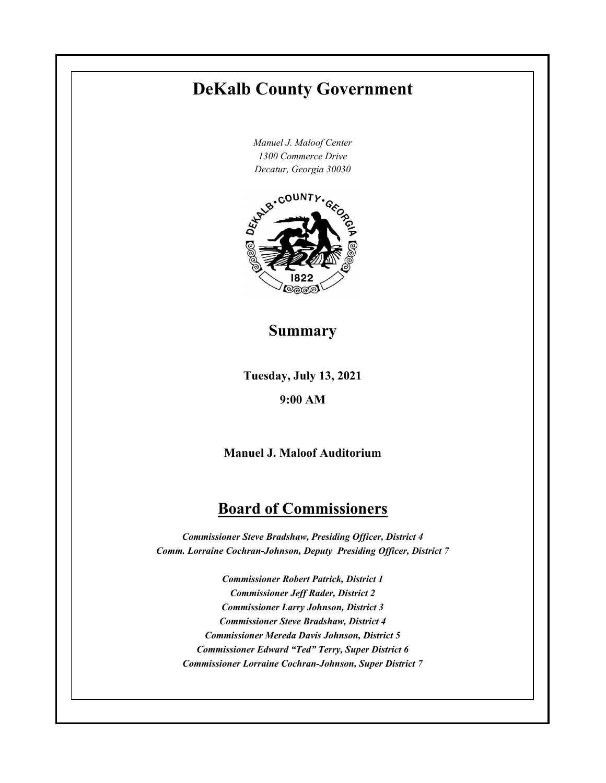# **DeKalb County Government**

*Manuel J. Maloof Center 1300 Commerce Drive*



# **Summary**

**Tuesday, July 13, 2021**

## **9:00 AM**

**Manuel J. Maloof Auditorium**

# **Board of Commissioners**

*Commissioner Steve Bradshaw, Presiding Officer, District 4 Comm. Lorraine Cochran-Johnson, Deputy Presiding Officer, District 7* 

*Commissioner Robert Patrick, District 1 Commissioner Jeff Rader, District 2 Commissioner Larry Johnson, District 3 Commissioner Steve Bradshaw, District 4 Commissioner Mereda Davis Johnson, District 5 Commissioner Edward "Ted" Terry, Super District 6 Commissioner Lorraine Cochran-Johnson, Super District 7*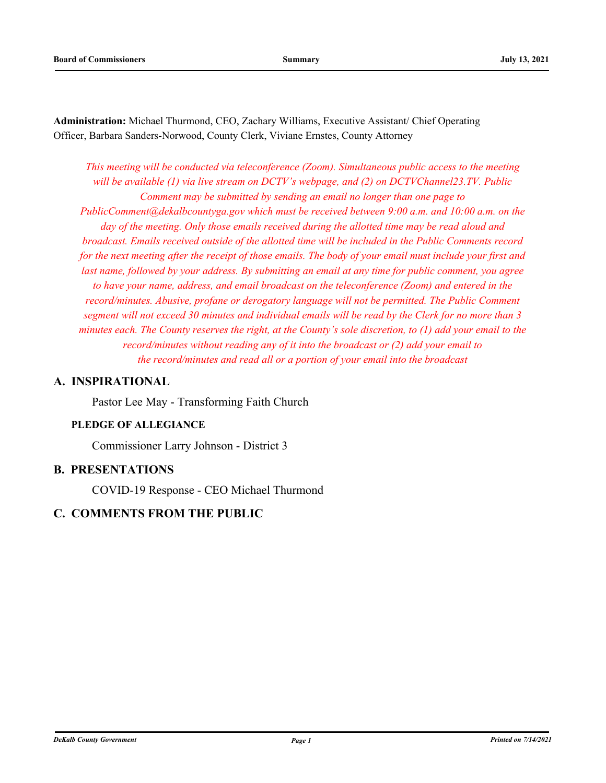**Administration:** Michael Thurmond, CEO, Zachary Williams, Executive Assistant/ Chief Operating Officer, Barbara Sanders-Norwood, County Clerk, Viviane Ernstes, County Attorney

*This meeting will be conducted via teleconference (Zoom). Simultaneous public access to the meeting will be available (1) via live stream on DCTV's webpage, and (2) on DCTVChannel23.TV. Public Comment may be submitted by sending an email no longer than one page to PublicComment@dekalbcountyga.gov which must be received between 9:00 a.m. and 10:00 a.m. on the day of the meeting. Only those emails received during the allotted time may be read aloud and broadcast. Emails received outside of the allotted time will be included in the Public Comments record for the next meeting after the receipt of those emails. The body of your email must include your first and last name, followed by your address. By submitting an email at any time for public comment, you agree to have your name, address, and email broadcast on the teleconference (Zoom) and entered in the record/minutes. Abusive, profane or derogatory language will not be permitted. The Public Comment segment will not exceed 30 minutes and individual emails will be read by the Clerk for no more than 3 minutes each. The County reserves the right, at the County's sole discretion, to (1) add your email to the record/minutes without reading any of it into the broadcast or (2) add your email to the record/minutes and read all or a portion of your email into the broadcast*

## **A. INSPIRATIONAL**

Pastor Lee May - Transforming Faith Church

## **PLEDGE OF ALLEGIANCE**

Commissioner Larry Johnson - District 3

## **B. PRESENTATIONS**

COVID-19 Response - CEO Michael Thurmond

## **C. COMMENTS FROM THE PUBLIC**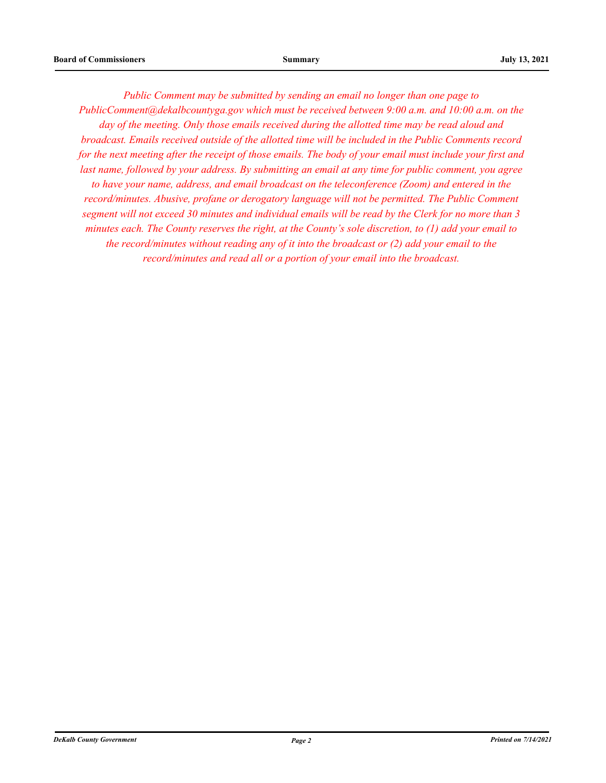*Public Comment may be submitted by sending an email no longer than one page to PublicComment@dekalbcountyga.gov which must be received between 9:00 a.m. and 10:00 a.m. on the day of the meeting. Only those emails received during the allotted time may be read aloud and broadcast. Emails received outside of the allotted time will be included in the Public Comments record for the next meeting after the receipt of those emails. The body of your email must include your first and last name, followed by your address. By submitting an email at any time for public comment, you agree to have your name, address, and email broadcast on the teleconference (Zoom) and entered in the record/minutes. Abusive, profane or derogatory language will not be permitted. The Public Comment segment will not exceed 30 minutes and individual emails will be read by the Clerk for no more than 3 minutes each. The County reserves the right, at the County's sole discretion, to (1) add your email to the record/minutes without reading any of it into the broadcast or (2) add your email to the record/minutes and read all or a portion of your email into the broadcast.*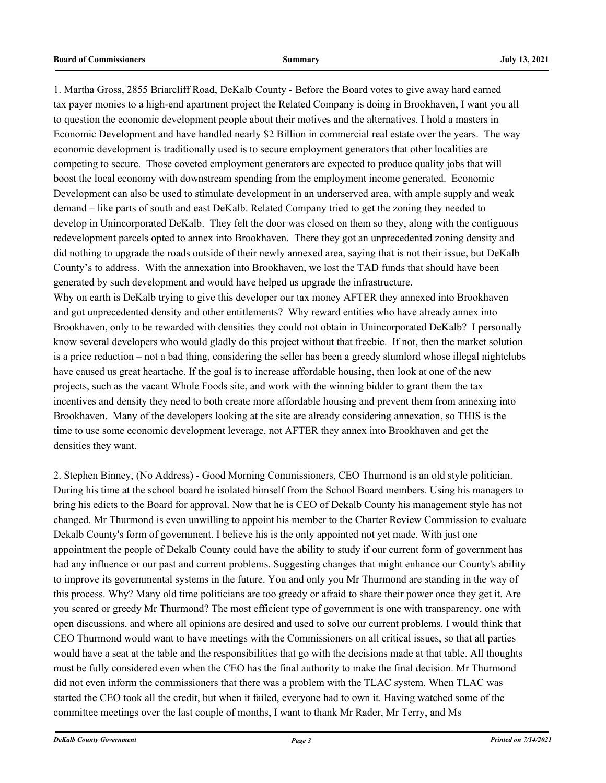1. Martha Gross, 2855 Briarcliff Road, DeKalb County - Before the Board votes to give away hard earned tax payer monies to a high-end apartment project the Related Company is doing in Brookhaven, I want you all to question the economic development people about their motives and the alternatives. I hold a masters in Economic Development and have handled nearly \$2 Billion in commercial real estate over the years. The way economic development is traditionally used is to secure employment generators that other localities are competing to secure. Those coveted employment generators are expected to produce quality jobs that will boost the local economy with downstream spending from the employment income generated. Economic Development can also be used to stimulate development in an underserved area, with ample supply and weak demand – like parts of south and east DeKalb. Related Company tried to get the zoning they needed to develop in Unincorporated DeKalb. They felt the door was closed on them so they, along with the contiguous redevelopment parcels opted to annex into Brookhaven. There they got an unprecedented zoning density and did nothing to upgrade the roads outside of their newly annexed area, saying that is not their issue, but DeKalb County's to address. With the annexation into Brookhaven, we lost the TAD funds that should have been generated by such development and would have helped us upgrade the infrastructure. Why on earth is DeKalb trying to give this developer our tax money AFTER they annexed into Brookhaven

and got unprecedented density and other entitlements? Why reward entities who have already annex into Brookhaven, only to be rewarded with densities they could not obtain in Unincorporated DeKalb? I personally know several developers who would gladly do this project without that freebie. If not, then the market solution is a price reduction – not a bad thing, considering the seller has been a greedy slumlord whose illegal nightclubs have caused us great heartache. If the goal is to increase affordable housing, then look at one of the new projects, such as the vacant Whole Foods site, and work with the winning bidder to grant them the tax incentives and density they need to both create more affordable housing and prevent them from annexing into Brookhaven. Many of the developers looking at the site are already considering annexation, so THIS is the time to use some economic development leverage, not AFTER they annex into Brookhaven and get the densities they want.

2. Stephen Binney, (No Address) - Good Morning Commissioners, CEO Thurmond is an old style politician. During his time at the school board he isolated himself from the School Board members. Using his managers to bring his edicts to the Board for approval. Now that he is CEO of Dekalb County his management style has not changed. Mr Thurmond is even unwilling to appoint his member to the Charter Review Commission to evaluate Dekalb County's form of government. I believe his is the only appointed not yet made. With just one appointment the people of Dekalb County could have the ability to study if our current form of government has had any influence or our past and current problems. Suggesting changes that might enhance our County's ability to improve its governmental systems in the future. You and only you Mr Thurmond are standing in the way of this process. Why? Many old time politicians are too greedy or afraid to share their power once they get it. Are you scared or greedy Mr Thurmond? The most efficient type of government is one with transparency, one with open discussions, and where all opinions are desired and used to solve our current problems. I would think that CEO Thurmond would want to have meetings with the Commissioners on all critical issues, so that all parties would have a seat at the table and the responsibilities that go with the decisions made at that table. All thoughts must be fully considered even when the CEO has the final authority to make the final decision. Mr Thurmond did not even inform the commissioners that there was a problem with the TLAC system. When TLAC was started the CEO took all the credit, but when it failed, everyone had to own it. Having watched some of the committee meetings over the last couple of months, I want to thank Mr Rader, Mr Terry, and Ms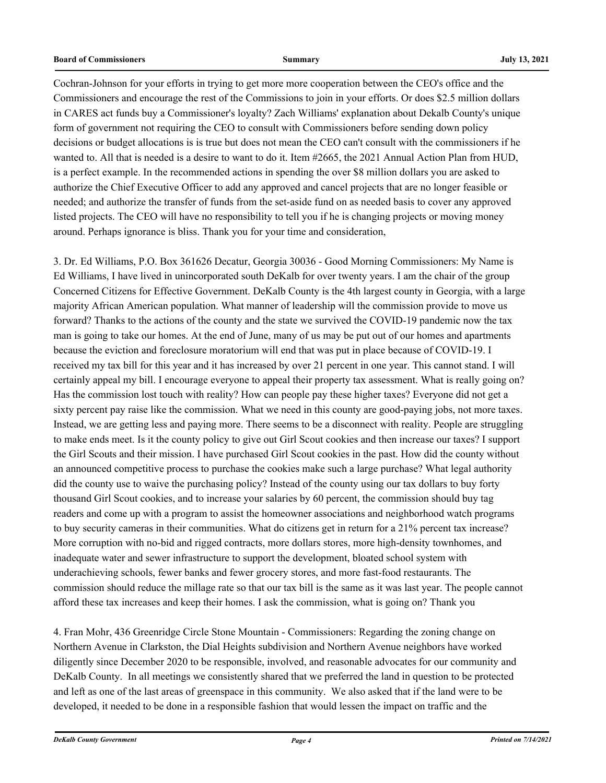Cochran-Johnson for your efforts in trying to get more more cooperation between the CEO's office and the Commissioners and encourage the rest of the Commissions to join in your efforts. Or does \$2.5 million dollars in CARES act funds buy a Commissioner's loyalty? Zach Williams' explanation about Dekalb County's unique form of government not requiring the CEO to consult with Commissioners before sending down policy decisions or budget allocations is is true but does not mean the CEO can't consult with the commissioners if he wanted to. All that is needed is a desire to want to do it. Item #2665, the 2021 Annual Action Plan from HUD, is a perfect example. In the recommended actions in spending the over \$8 million dollars you are asked to authorize the Chief Executive Officer to add any approved and cancel projects that are no longer feasible or needed; and authorize the transfer of funds from the set-aside fund on as needed basis to cover any approved listed projects. The CEO will have no responsibility to tell you if he is changing projects or moving money around. Perhaps ignorance is bliss. Thank you for your time and consideration,

3. Dr. Ed Williams, P.O. Box 361626 Decatur, Georgia 30036 - Good Morning Commissioners: My Name is Ed Williams, I have lived in unincorporated south DeKalb for over twenty years. I am the chair of the group Concerned Citizens for Effective Government. DeKalb County is the 4th largest county in Georgia, with a large majority African American population. What manner of leadership will the commission provide to move us forward? Thanks to the actions of the county and the state we survived the COVID-19 pandemic now the tax man is going to take our homes. At the end of June, many of us may be put out of our homes and apartments because the eviction and foreclosure moratorium will end that was put in place because of COVID-19. I received my tax bill for this year and it has increased by over 21 percent in one year. This cannot stand. I will certainly appeal my bill. I encourage everyone to appeal their property tax assessment. What is really going on? Has the commission lost touch with reality? How can people pay these higher taxes? Everyone did not get a sixty percent pay raise like the commission. What we need in this county are good-paying jobs, not more taxes. Instead, we are getting less and paying more. There seems to be a disconnect with reality. People are struggling to make ends meet. Is it the county policy to give out Girl Scout cookies and then increase our taxes? I support the Girl Scouts and their mission. I have purchased Girl Scout cookies in the past. How did the county without an announced competitive process to purchase the cookies make such a large purchase? What legal authority did the county use to waive the purchasing policy? Instead of the county using our tax dollars to buy forty thousand Girl Scout cookies, and to increase your salaries by 60 percent, the commission should buy tag readers and come up with a program to assist the homeowner associations and neighborhood watch programs to buy security cameras in their communities. What do citizens get in return for a 21% percent tax increase? More corruption with no-bid and rigged contracts, more dollars stores, more high-density townhomes, and inadequate water and sewer infrastructure to support the development, bloated school system with underachieving schools, fewer banks and fewer grocery stores, and more fast-food restaurants. The commission should reduce the millage rate so that our tax bill is the same as it was last year. The people cannot afford these tax increases and keep their homes. I ask the commission, what is going on? Thank you

4. Fran Mohr, 436 Greenridge Circle Stone Mountain - Commissioners: Regarding the zoning change on Northern Avenue in Clarkston, the Dial Heights subdivision and Northern Avenue neighbors have worked diligently since December 2020 to be responsible, involved, and reasonable advocates for our community and DeKalb County. In all meetings we consistently shared that we preferred the land in question to be protected and left as one of the last areas of greenspace in this community. We also asked that if the land were to be developed, it needed to be done in a responsible fashion that would lessen the impact on traffic and the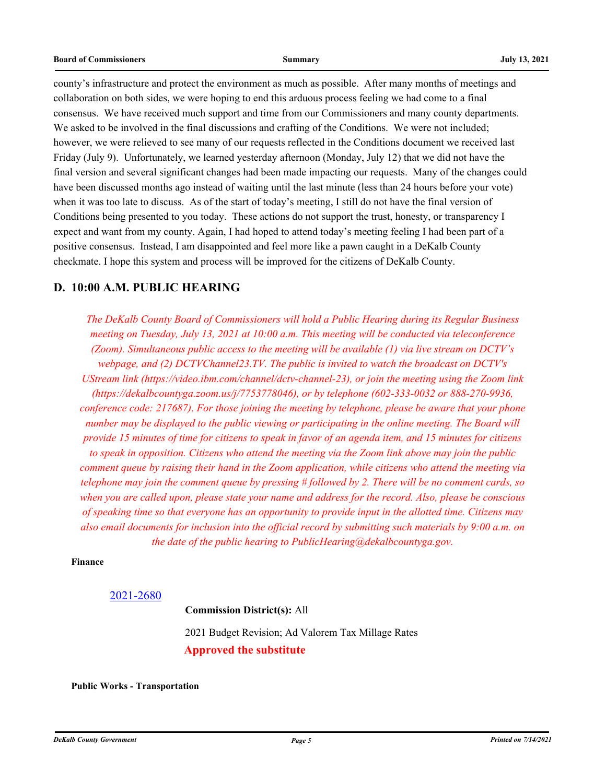county's infrastructure and protect the environment as much as possible. After many months of meetings and collaboration on both sides, we were hoping to end this arduous process feeling we had come to a final consensus. We have received much support and time from our Commissioners and many county departments. We asked to be involved in the final discussions and crafting of the Conditions. We were not included; however, we were relieved to see many of our requests reflected in the Conditions document we received last Friday (July 9). Unfortunately, we learned yesterday afternoon (Monday, July 12) that we did not have the final version and several significant changes had been made impacting our requests. Many of the changes could have been discussed months ago instead of waiting until the last minute (less than 24 hours before your vote) when it was too late to discuss. As of the start of today's meeting, I still do not have the final version of Conditions being presented to you today. These actions do not support the trust, honesty, or transparency I expect and want from my county. Again, I had hoped to attend today's meeting feeling I had been part of a positive consensus. Instead, I am disappointed and feel more like a pawn caught in a DeKalb County checkmate. I hope this system and process will be improved for the citizens of DeKalb County.

## **D. 10:00 A.M. PUBLIC HEARING**

*The DeKalb County Board of Commissioners will hold a Public Hearing during its Regular Business meeting on Tuesday, July 13, 2021 at 10:00 a.m. This meeting will be conducted via teleconference (Zoom). Simultaneous public access to the meeting will be available (1) via live stream on DCTV's webpage, and (2) DCTVChannel23.TV. The public is invited to watch the broadcast on DCTV's UStream link (https://video.ibm.com/channel/dctv-channel-23), or join the meeting using the Zoom link (https://dekalbcountyga.zoom.us/j/7753778046), or by telephone (602-333-0032 or 888-270-9936, conference code: 217687). For those joining the meeting by telephone, please be aware that your phone number may be displayed to the public viewing or participating in the online meeting. The Board will provide 15 minutes of time for citizens to speak in favor of an agenda item, and 15 minutes for citizens to speak in opposition. Citizens who attend the meeting via the Zoom link above may join the public comment queue by raising their hand in the Zoom application, while citizens who attend the meeting via telephone may join the comment queue by pressing # followed by 2. There will be no comment cards, so when you are called upon, please state your name and address for the record. Also, please be conscious of speaking time so that everyone has an opportunity to provide input in the allotted time. Citizens may also email documents for inclusion into the official record by submitting such materials by 9:00 a.m. on the date of the public hearing to PublicHearing@dekalbcountyga.gov.*

#### **Finance**

#### [2021-2680](http://dekalbcountyga.legistar.com/gateway.aspx?m=l&id=/matter.aspx?key=8916)

2021 Budget Revision; Ad Valorem Tax Millage Rates **Approved the substitute**

**Commission District(s):** All

**Public Works - Transportation**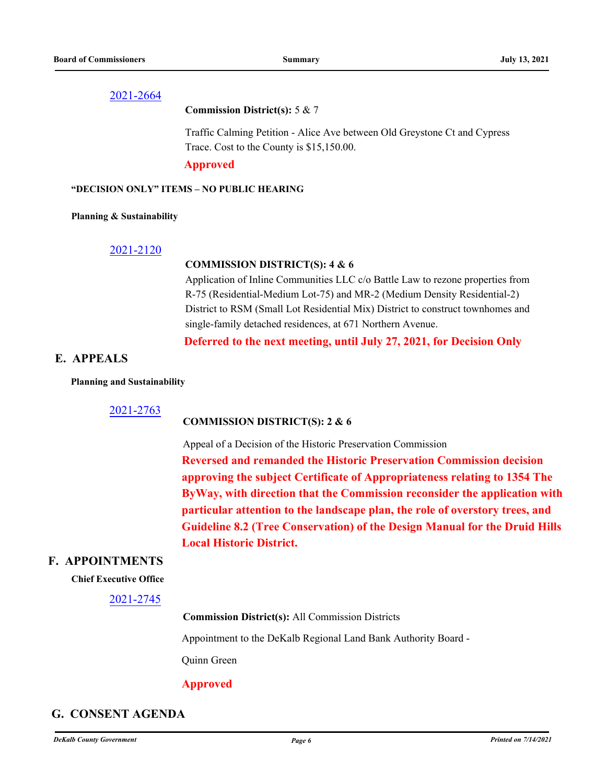#### **Commission District(s):** 5 & 7

Traffic Calming Petition - Alice Ave between Old Greystone Ct and Cypress Trace. Cost to the County is \$15,150.00.

#### **Approved**

#### **"DECISION ONLY" ITEMS – NO PUBLIC HEARING**

#### **Planning & Sustainability**

#### [2021-2120](http://dekalbcountyga.legistar.com/gateway.aspx?m=l&id=/matter.aspx?key=8356)

### **COMMISSION DISTRICT(S): 4 & 6**

Application of Inline Communities LLC c/o Battle Law to rezone properties from R-75 (Residential-Medium Lot-75) and MR-2 (Medium Density Residential-2) District to RSM (Small Lot Residential Mix) District to construct townhomes and single-family detached residences, at 671 Northern Avenue.

## **Deferred to the next meeting, until July 27, 2021, for Decision Only**

## **E. APPEALS**

#### **Planning and Sustainability**

## 2021-2763

#### **COMMISSION DISTRICT(S): 2 & 6**

Appeal of a Decision of the Historic Preservation Commission **Reversed and remanded the Historic Preservation Commission decision approving the subject Certificate of Appropriateness relating to 1354 The ByWay, with direction that the Commission reconsider the application with particular attention to the landscape plan, the role of overstory trees, and Guideline 8.2 (Tree Conservation) of the Design Manual for the Druid Hills Local Historic District.**

## **F. APPOINTMENTS**

#### **Chief Ex[ecutive Office](http://dekalbcountyga.legistar.com/gateway.aspx?m=l&id=/matter.aspx?key=8981)**

#### 2021-2745

**Commission District(s):** All Commission Districts

Appointment to the DeKalb Regional Land Bank Authority Board -

Quinn Green

## **Approved**

## **G. CONSENT AGENDA**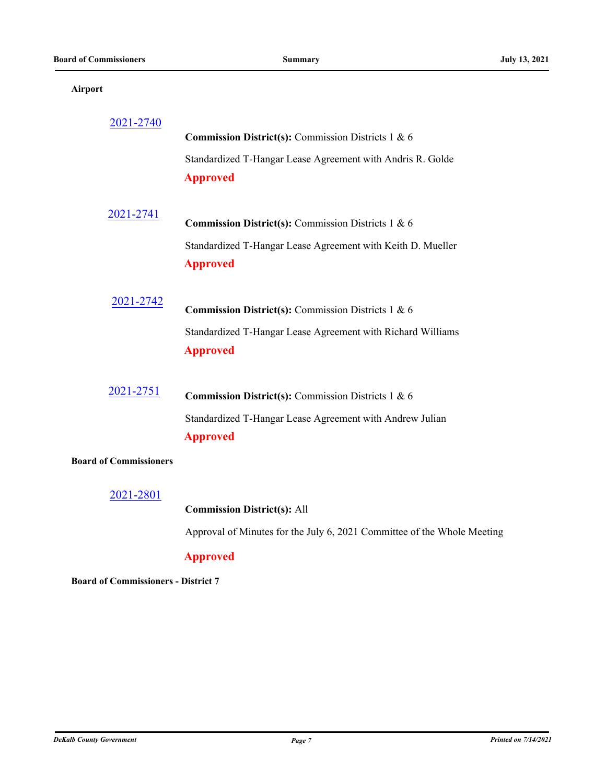#### **Airport**

| 2021-2740                     |                                                             |
|-------------------------------|-------------------------------------------------------------|
|                               | Commission District(s): Commission Districts 1 & 6          |
|                               | Standardized T-Hangar Lease Agreement with Andris R. Golde  |
|                               | <b>Approved</b>                                             |
|                               |                                                             |
| 2021-2741                     | Commission District(s): Commission Districts 1 & 6          |
|                               | Standardized T-Hangar Lease Agreement with Keith D. Mueller |
|                               | <b>Approved</b>                                             |
|                               |                                                             |
|                               |                                                             |
| 2021-2742                     | <b>Commission District(s):</b> Commission Districts 1 & 6   |
|                               | Standardized T-Hangar Lease Agreement with Richard Williams |
|                               | <b>Approved</b>                                             |
|                               |                                                             |
|                               |                                                             |
| 2021-2751                     | Commission District(s): Commission Districts 1 & 6          |
|                               | Standardized T-Hangar Lease Agreement with Andrew Julian    |
|                               | <b>Approved</b>                                             |
| <b>Board of Commissioners</b> |                                                             |

## [2021-2801](http://dekalbcountyga.legistar.com/gateway.aspx?m=l&id=/matter.aspx?key=9037)

## **Commission District(s):** All

Approval of Minutes for the July 6, 2021 Committee of the Whole Meeting

## **Approved**

**Board of Commissioners - District 7**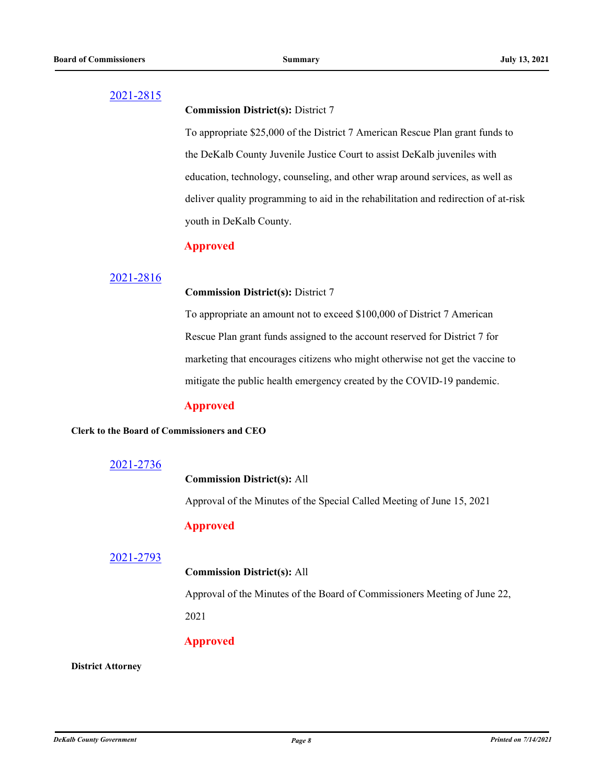**Commission District(s):** District 7

To appropriate \$25,000 of the District 7 American Rescue Plan grant funds to the DeKalb County Juvenile Justice Court to assist DeKalb juveniles with education, technology, counseling, and other wrap around services, as well as deliver quality programming to aid in the rehabilitation and redirection of at-risk youth in DeKalb County.

## **Approved**

## [2021-2816](http://dekalbcountyga.legistar.com/gateway.aspx?m=l&id=/matter.aspx?key=9052)

#### **Commission District(s):** District 7

To appropriate an amount not to exceed \$100,000 of District 7 American Rescue Plan grant funds assigned to the account reserved for District 7 for marketing that encourages citizens who might otherwise not get the vaccine to mitigate the public health emergency created by the COVID-19 pandemic.

## **Approved**

#### **Clerk to the Board of Commissioners and CEO**

## [2021-2736](http://dekalbcountyga.legistar.com/gateway.aspx?m=l&id=/matter.aspx?key=8972)

## **Commission District(s):** All

Approval of the Minutes of the Special Called Meeting of June 15, 2021

## **Approved**

#### [2021-2793](http://dekalbcountyga.legistar.com/gateway.aspx?m=l&id=/matter.aspx?key=9029)

## **Commission District(s):** All

Approval of the Minutes of the Board of Commissioners Meeting of June 22, 2021

## **Approved**

**District Attorney**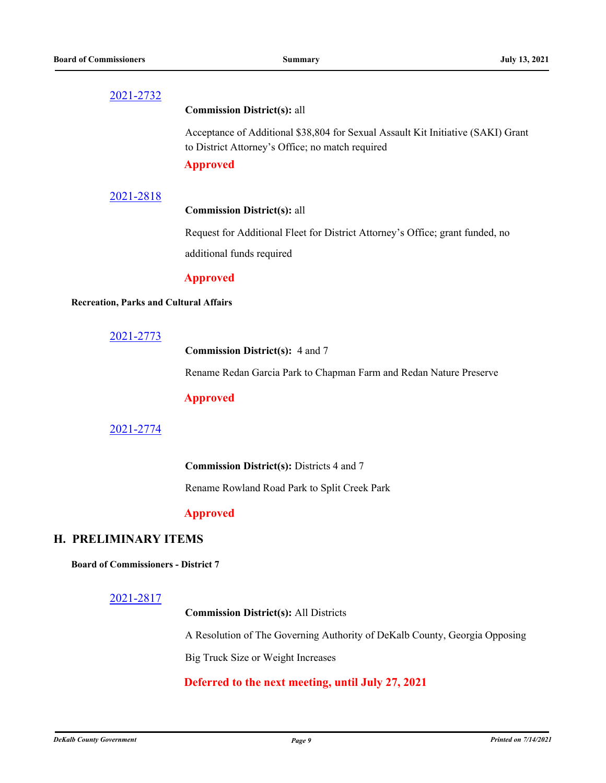#### **Commission District(s):** all

Acceptance of Additional \$38,804 for Sexual Assault Kit Initiative (SAKI) Grant to District Attorney's Office; no match required

#### **Approved**

#### [2021-2818](http://dekalbcountyga.legistar.com/gateway.aspx?m=l&id=/matter.aspx?key=9054)

### **Commission District(s):** all

Request for Additional Fleet for District Attorney's Office; grant funded, no additional funds required

#### **Approved**

#### **Recreation, Parks and Cultural Affairs**

#### [2021-2773](http://dekalbcountyga.legistar.com/gateway.aspx?m=l&id=/matter.aspx?key=9009)

**Commission District(s):** 4 and 7

Rename Redan Garcia Park to Chapman Farm and Redan Nature Preserve

## **Approved**

## [2021-2774](http://dekalbcountyga.legistar.com/gateway.aspx?m=l&id=/matter.aspx?key=9010)

**Commission District(s):** Districts 4 and 7

Rename Rowland Road Park to Split Creek Park

## **Approved**

## **H. PRELIMINARY ITEMS**

**Board of Commissioners - District 7**

#### [2021-2817](http://dekalbcountyga.legistar.com/gateway.aspx?m=l&id=/matter.aspx?key=9053)

**Commission District(s):** All Districts

A Resolution of The Governing Authority of DeKalb County, Georgia Opposing

Big Truck Size or Weight Increases

## **Deferred to the next meeting, until July 27, 2021**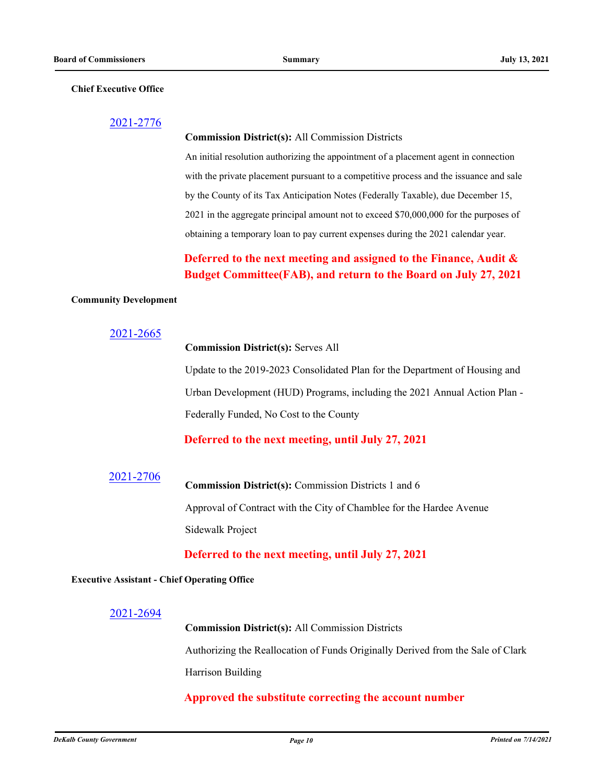#### **Chief Executive Office**

#### [2021-2776](http://dekalbcountyga.legistar.com/gateway.aspx?m=l&id=/matter.aspx?key=9012)

#### **Commission District(s):** All Commission Districts

An initial resolution authorizing the appointment of a placement agent in connection with the private placement pursuant to a competitive process and the issuance and sale by the County of its Tax Anticipation Notes (Federally Taxable), due December 15, 2021 in the aggregate principal amount not to exceed \$70,000,000 for the purposes of obtaining a temporary loan to pay current expenses during the 2021 calendar year.

## **Deferred to the next meeting and assigned to the Finance, Audit & Budget Committee(FAB), and return to the Board on July 27, 2021**

#### **Community Development**

### [2021-2665](http://dekalbcountyga.legistar.com/gateway.aspx?m=l&id=/matter.aspx?key=8901)

### **Commission District(s):** Serves All

Update to the 2019-2023 Consolidated Plan for the Department of Housing and Urban Development (HUD) Programs, including the 2021 Annual Action Plan - Federally Funded, No Cost to the County

## **Deferred to the next meeting, until July 27, 2021**

# [2021-2706](http://dekalbcountyga.legistar.com/gateway.aspx?m=l&id=/matter.aspx?key=8942) **Commission District(s):** Commission Districts 1 and 6 Approval of Contract with the City of Chamblee for the Hardee Avenue Sidewalk Project

## **Deferred to the next meeting, until July 27, 2021**

#### **Executive Assistant - Chief Operating Office**

### [2021-2694](http://dekalbcountyga.legistar.com/gateway.aspx?m=l&id=/matter.aspx?key=8930)

**Commission District(s):** All Commission Districts Authorizing the Reallocation of Funds Originally Derived from the Sale of Clark Harrison Building

## **Approved the substitute correcting the account number**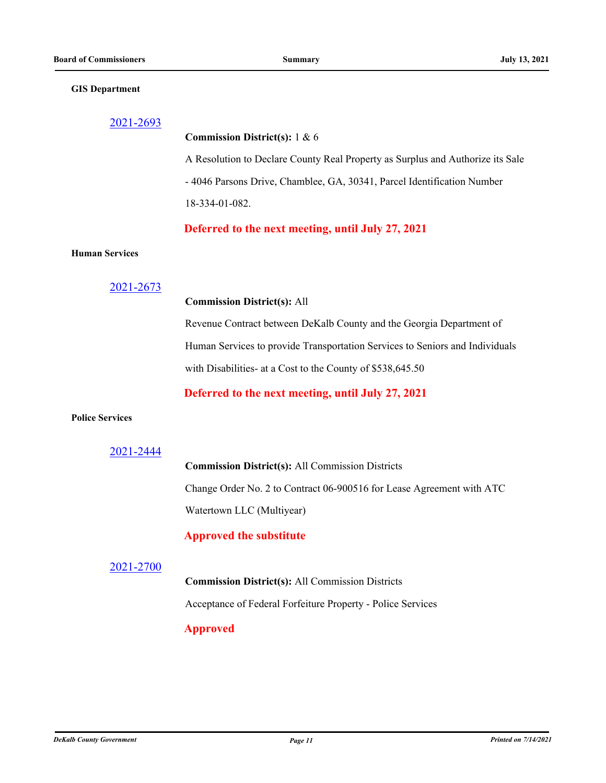#### **GIS Department**

| 2021-2693              |                                                                                |
|------------------------|--------------------------------------------------------------------------------|
|                        | Commission District(s): 1 & 6                                                  |
|                        | A Resolution to Declare County Real Property as Surplus and Authorize its Sale |
|                        | - 4046 Parsons Drive, Chamblee, GA, 30341, Parcel Identification Number        |
|                        | 18-334-01-082.                                                                 |
|                        | Deferred to the next meeting, until July 27, 2021                              |
| <b>Human Services</b>  |                                                                                |
| 2021-2673              |                                                                                |
|                        | <b>Commission District(s): All</b>                                             |
|                        | Revenue Contract between DeKalb County and the Georgia Department of           |
|                        | Human Services to provide Transportation Services to Seniors and Individuals   |
|                        | with Disabilities- at a Cost to the County of \$538,645.50                     |
|                        | Deferred to the next meeting, until July 27, 2021                              |
| <b>Police Services</b> |                                                                                |
| 2021-2444              |                                                                                |
|                        | <b>Commission District(s): All Commission Districts</b>                        |
|                        | Change Order No. 2 to Contract 06-900516 for Lease Agreement with ATC          |
|                        | Watertown LLC (Multiyear)                                                      |

# **Approved the substitute**

## [2021-2700](http://dekalbcountyga.legistar.com/gateway.aspx?m=l&id=/matter.aspx?key=8936)

**Commission District(s):** All Commission Districts Acceptance of Federal Forfeiture Property - Police Services

# **Approved**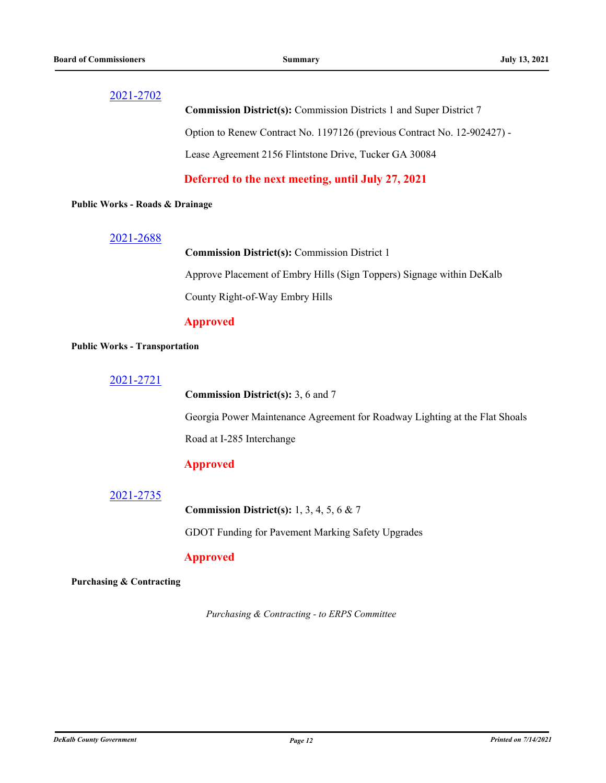**Commission District(s):** Commission Districts 1 and Super District 7 Option to Renew Contract No. 1197126 (previous Contract No. 12-902427) - Lease Agreement 2156 Flintstone Drive, Tucker GA 30084

**Deferred to the next meeting, until July 27, 2021**

#### **Public Works - Roads & Drainage**

### [2021-2688](http://dekalbcountyga.legistar.com/gateway.aspx?m=l&id=/matter.aspx?key=8924)

**Commission District(s):** Commission District 1

Approve Placement of Embry Hills (Sign Toppers) Signage within DeKalb County Right-of-Way Embry Hills

## **Approved**

#### **Public Works - Transportation**

**Commission District(s):** 3, 6 and 7

Georgia Power Maintenance Agreement for Roadway Lighting at the Flat Shoals Road at I-285 Interchange

## **Approved**

## [2021-2735](http://dekalbcountyga.legistar.com/gateway.aspx?m=l&id=/matter.aspx?key=8971)

**Commission District(s):** 1, 3, 4, 5, 6 & 7

GDOT Funding for Pavement Marking Safety Upgrades

### **Approved**

#### **Purchasing & Contracting**

*Purchasing & Contracting - to ERPS Committee*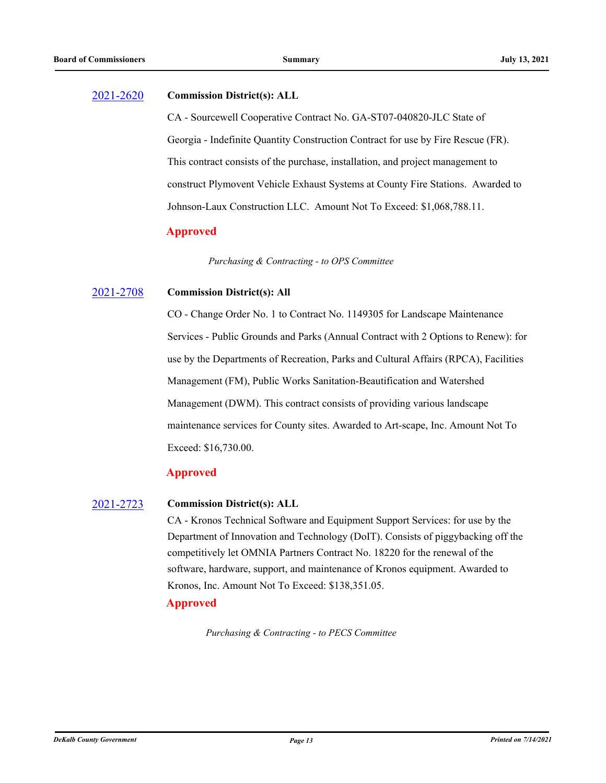## [2021-2620](http://dekalbcountyga.legistar.com/gateway.aspx?m=l&id=/matter.aspx?key=8856) **Commission District(s): ALL**

CA - Sourcewell Cooperative Contract No. GA-ST07-040820-JLC State of Georgia - Indefinite Quantity Construction Contract for use by Fire Rescue (FR). This contract consists of the purchase, installation, and project management to construct Plymovent Vehicle Exhaust Systems at County Fire Stations. Awarded to Johnson-Laux Construction LLC. Amount Not To Exceed: \$1,068,788.11.

## **Approved**

*Purchasing & Contracting - to OPS Committee*

#### [2021-2708](http://dekalbcountyga.legistar.com/gateway.aspx?m=l&id=/matter.aspx?key=8944) **Commission District(s): All**

CO - Change Order No. 1 to Contract No. 1149305 for Landscape Maintenance Services - Public Grounds and Parks (Annual Contract with 2 Options to Renew): for use by the Departments of Recreation, Parks and Cultural Affairs (RPCA), Facilities Management (FM), Public Works Sanitation-Beautification and Watershed Management (DWM). This contract consists of providing various landscape maintenance services for County sites. Awarded to Art-scape, Inc. Amount Not To Exceed: \$16,730.00.

## **Approved**

#### [2021-2723](http://dekalbcountyga.legistar.com/gateway.aspx?m=l&id=/matter.aspx?key=8959) **Commission District(s): ALL**

CA - Kronos Technical Software and Equipment Support Services: for use by the Department of Innovation and Technology (DoIT). Consists of piggybacking off the competitively let OMNIA Partners Contract No. 18220 for the renewal of the software, hardware, support, and maintenance of Kronos equipment. Awarded to Kronos, Inc. Amount Not To Exceed: \$138,351.05.

## **Approved**

*Purchasing & Contracting - to PECS Committee*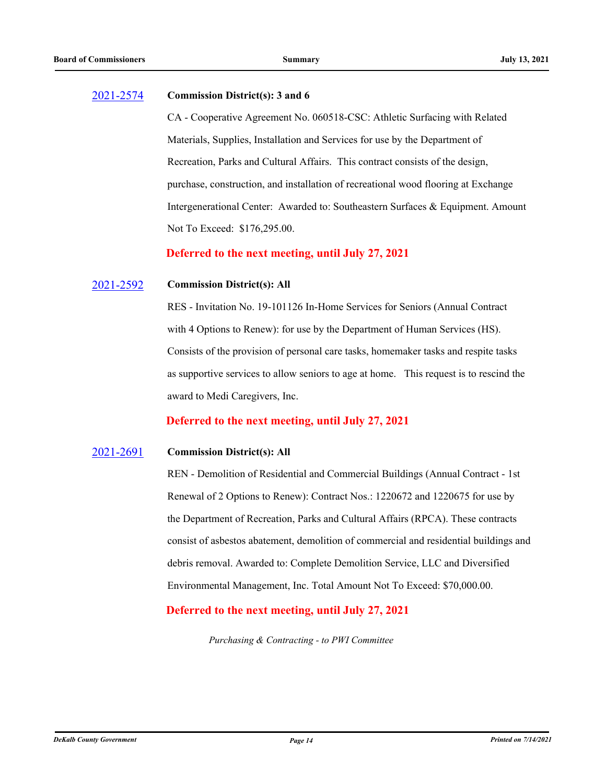#### [2021-2574](http://dekalbcountyga.legistar.com/gateway.aspx?m=l&id=/matter.aspx?key=8810) **Commission District(s): 3 and 6**

CA - Cooperative Agreement No. 060518-CSC: Athletic Surfacing with Related Materials, Supplies, Installation and Services for use by the Department of Recreation, Parks and Cultural Affairs. This contract consists of the design, purchase, construction, and installation of recreational wood flooring at Exchange Intergenerational Center: Awarded to: Southeastern Surfaces & Equipment. Amount Not To Exceed: \$176,295.00.

**Deferred to the next meeting, until July 27, 2021**

#### [2021-2592](http://dekalbcountyga.legistar.com/gateway.aspx?m=l&id=/matter.aspx?key=8828) **Commission District(s): All**

RES - Invitation No. 19-101126 In-Home Services for Seniors (Annual Contract with 4 Options to Renew): for use by the Department of Human Services (HS). Consists of the provision of personal care tasks, homemaker tasks and respite tasks as supportive services to allow seniors to age at home. This request is to rescind the award to Medi Caregivers, Inc.

## **Deferred to the next meeting, until July 27, 2021**

#### [2021-2691](http://dekalbcountyga.legistar.com/gateway.aspx?m=l&id=/matter.aspx?key=8927) **Commission District(s): All**

REN - Demolition of Residential and Commercial Buildings (Annual Contract - 1st Renewal of 2 Options to Renew): Contract Nos.: 1220672 and 1220675 for use by the Department of Recreation, Parks and Cultural Affairs (RPCA). These contracts consist of asbestos abatement, demolition of commercial and residential buildings and debris removal. Awarded to: Complete Demolition Service, LLC and Diversified Environmental Management, Inc. Total Amount Not To Exceed: \$70,000.00.

## **Deferred to the next meeting, until July 27, 2021**

*Purchasing & Contracting - to PWI Committee*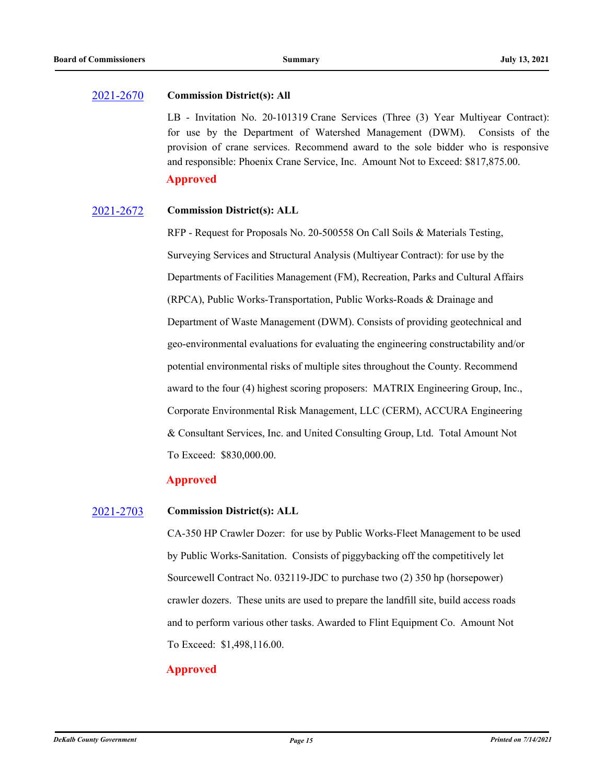#### [2021-2670](http://dekalbcountyga.legistar.com/gateway.aspx?m=l&id=/matter.aspx?key=8906) **Commission District(s): All**

LB - Invitation No. 20-101319 Crane Services (Three (3) Year Multiyear Contract): for use by the Department of Watershed Management (DWM). Consists of the provision of crane services. Recommend award to the sole bidder who is responsive and responsible: Phoenix Crane Service, Inc. Amount Not to Exceed: \$817,875.00.

## **Approved**

#### [2021-2672](http://dekalbcountyga.legistar.com/gateway.aspx?m=l&id=/matter.aspx?key=8908) **Commission District(s): ALL**

RFP - Request for Proposals No. 20-500558 On Call Soils & Materials Testing, Surveying Services and Structural Analysis (Multiyear Contract): for use by the Departments of Facilities Management (FM), Recreation, Parks and Cultural Affairs (RPCA), Public Works-Transportation, Public Works-Roads & Drainage and Department of Waste Management (DWM). Consists of providing geotechnical and geo-environmental evaluations for evaluating the engineering constructability and/or potential environmental risks of multiple sites throughout the County. Recommend award to the four (4) highest scoring proposers: MATRIX Engineering Group, Inc., Corporate Environmental Risk Management, LLC (CERM), ACCURA Engineering & Consultant Services, Inc. and United Consulting Group, Ltd. Total Amount Not To Exceed: \$830,000.00.

## **Approved**

#### [2021-2703](http://dekalbcountyga.legistar.com/gateway.aspx?m=l&id=/matter.aspx?key=8939) **Commission District(s): ALL**

CA-350 HP Crawler Dozer: for use by Public Works-Fleet Management to be used by Public Works-Sanitation. Consists of piggybacking off the competitively let Sourcewell Contract No. 032119-JDC to purchase two (2) 350 hp (horsepower) crawler dozers. These units are used to prepare the landfill site, build access roads and to perform various other tasks. Awarded to Flint Equipment Co. Amount Not To Exceed: \$1,498,116.00.

## **Approved**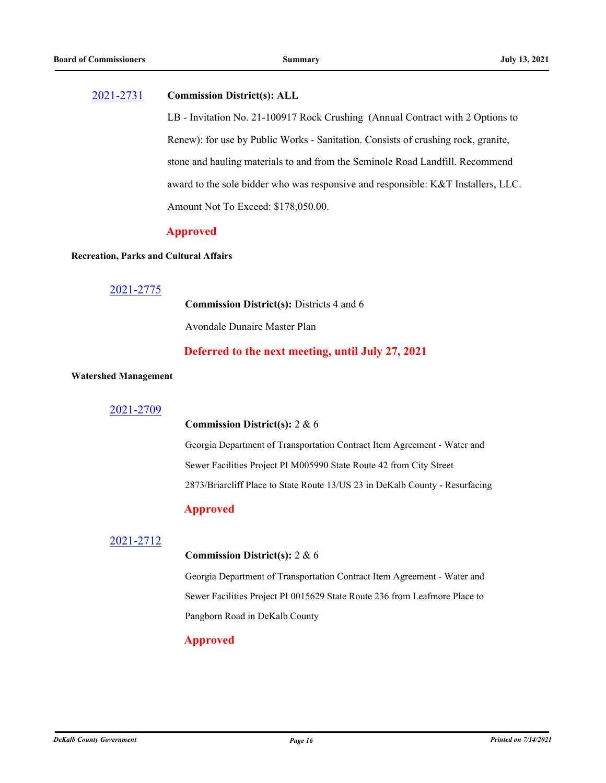### [2021-2731](http://dekalbcountyga.legistar.com/gateway.aspx?m=l&id=/matter.aspx?key=8967) **Commission District(s): ALL**

LB - Invitation No. 21-100917 Rock Crushing (Annual Contract with 2 Options to Renew): for use by Public Works - Sanitation. Consists of crushing rock, granite, stone and hauling materials to and from the Seminole Road Landfill. Recommend award to the sole bidder who was responsive and responsible: K&T Installers, LLC. Amount Not To Exceed: \$178,050.00.

## **Approved**

#### **Recreation, Parks and Cultural Affairs**

### [2021-2775](http://dekalbcountyga.legistar.com/gateway.aspx?m=l&id=/matter.aspx?key=9011)

**Commission District(s):** Districts 4 and 6

Avondale Dunaire Master Plan

## **Deferred to the next meeting, until July 27, 2021**

#### **Watershed Management**

#### [2021-2709](http://dekalbcountyga.legistar.com/gateway.aspx?m=l&id=/matter.aspx?key=8945)

#### **Commission District(s):** 2 & 6

Georgia Department of Transportation Contract Item Agreement - Water and Sewer Facilities Project PI M005990 State Route 42 from City Street 2873/Briarcliff Place to State Route 13/US 23 in DeKalb County - Resurfacing

## **Approved**

## [2021-2712](http://dekalbcountyga.legistar.com/gateway.aspx?m=l&id=/matter.aspx?key=8948)

### **Commission District(s):** 2 & 6

Georgia Department of Transportation Contract Item Agreement - Water and Sewer Facilities Project PI 0015629 State Route 236 from Leafmore Place to Pangborn Road in DeKalb County

## **Approved**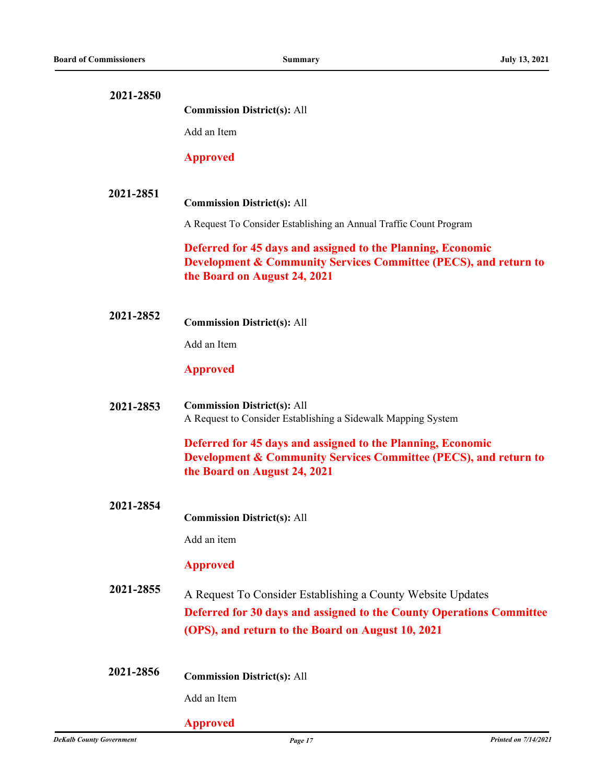| 2021-2850 |                                                                                                                                                                                          |
|-----------|------------------------------------------------------------------------------------------------------------------------------------------------------------------------------------------|
|           | <b>Commission District(s): All</b>                                                                                                                                                       |
|           | Add an Item                                                                                                                                                                              |
|           | <b>Approved</b>                                                                                                                                                                          |
|           |                                                                                                                                                                                          |
| 2021-2851 | <b>Commission District(s): All</b>                                                                                                                                                       |
|           | A Request To Consider Establishing an Annual Traffic Count Program                                                                                                                       |
|           | Deferred for 45 days and assigned to the Planning, Economic<br><b>Development &amp; Community Services Committee (PECS), and return to</b><br>the Board on August 24, 2021               |
| 2021-2852 | <b>Commission District(s): All</b>                                                                                                                                                       |
|           | Add an Item                                                                                                                                                                              |
|           | <b>Approved</b>                                                                                                                                                                          |
| 2021-2853 | <b>Commission District(s): All</b><br>A Request to Consider Establishing a Sidewalk Mapping System                                                                                       |
|           | Deferred for 45 days and assigned to the Planning, Economic<br><b>Development &amp; Community Services Committee (PECS), and return to</b><br>the Board on August 24, 2021               |
| 2021-2854 |                                                                                                                                                                                          |
|           | <b>Commission District(s): All</b>                                                                                                                                                       |
|           | Add an item                                                                                                                                                                              |
|           | <b>Approved</b>                                                                                                                                                                          |
| 2021-2855 | A Request To Consider Establishing a County Website Updates<br>Deferred for 30 days and assigned to the County Operations Committee<br>(OPS), and return to the Board on August 10, 2021 |
| 2021-2856 | <b>Commission District(s): All</b>                                                                                                                                                       |
|           | Add an Item                                                                                                                                                                              |
|           | <b>Approved</b>                                                                                                                                                                          |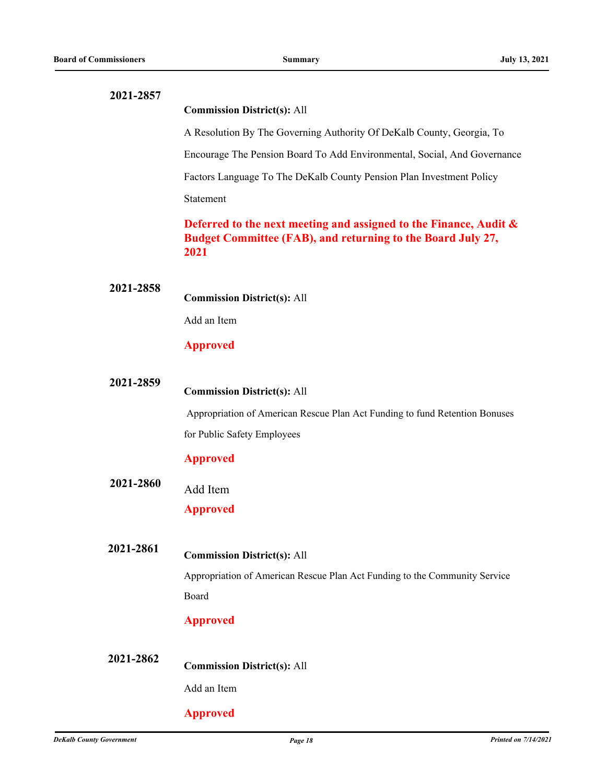| 2021-2857 |                                                                                                                                             |
|-----------|---------------------------------------------------------------------------------------------------------------------------------------------|
|           | <b>Commission District(s): All</b>                                                                                                          |
|           | A Resolution By The Governing Authority Of DeKalb County, Georgia, To                                                                       |
|           | Encourage The Pension Board To Add Environmental, Social, And Governance                                                                    |
|           | Factors Language To The DeKalb County Pension Plan Investment Policy                                                                        |
|           | Statement                                                                                                                                   |
|           | Deferred to the next meeting and assigned to the Finance, Audit $\&$<br>Budget Committee (FAB), and returning to the Board July 27,<br>2021 |
| 2021-2858 | <b>Commission District(s): All</b>                                                                                                          |
|           | Add an Item                                                                                                                                 |
|           | <b>Approved</b>                                                                                                                             |
| 2021-2859 | <b>Commission District(s): All</b>                                                                                                          |
|           | Appropriation of American Rescue Plan Act Funding to fund Retention Bonuses                                                                 |
|           | for Public Safety Employees                                                                                                                 |
|           | <b>Approved</b>                                                                                                                             |
| 2021-2860 | Add Item                                                                                                                                    |
|           | <b>Approved</b>                                                                                                                             |
| 2021-2861 | <b>Commission District(s): All</b>                                                                                                          |
|           | Appropriation of American Rescue Plan Act Funding to the Community Service                                                                  |
|           | Board                                                                                                                                       |
|           | <b>Approved</b>                                                                                                                             |
| 2021-2862 | <b>Commission District(s): All</b>                                                                                                          |
|           | Add an Item                                                                                                                                 |
|           |                                                                                                                                             |
|           | <b>Approved</b>                                                                                                                             |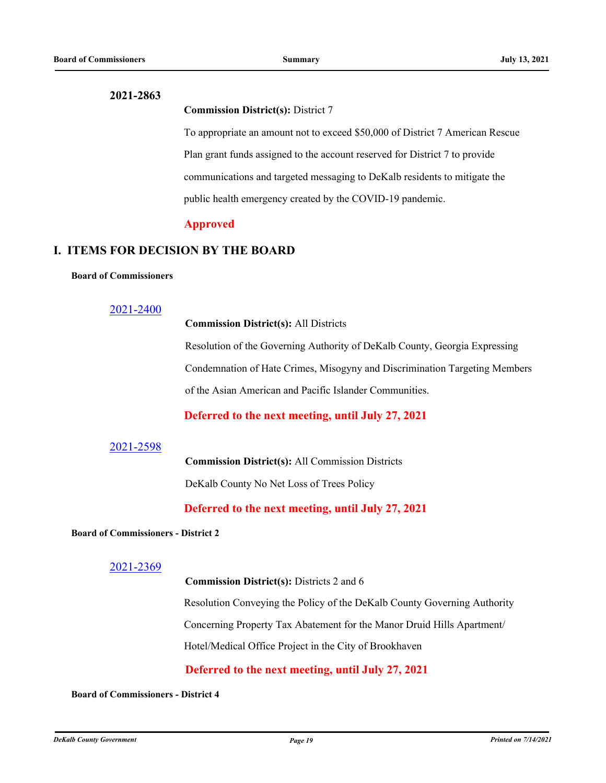#### **Commission District(s):** District 7

To appropriate an amount not to exceed \$50,000 of District 7 American Rescue Plan grant funds assigned to the account reserved for District 7 to provide communications and targeted messaging to DeKalb residents to mitigate the public health emergency created by the COVID-19 pandemic.

#### **Approved**

## **I. ITEMS FOR DECISION BY THE BOARD**

#### **Board of Commissioners**

## [2021-2400](http://dekalbcountyga.legistar.com/gateway.aspx?m=l&id=/matter.aspx?key=8636)

**Commission District(s):** All Districts

Resolution of the Governing Authority of DeKalb County, Georgia Expressing Condemnation of Hate Crimes, Misogyny and Discrimination Targeting Members of the Asian American and Pacific Islander Communities.

## **Deferred to the next meeting, until July 27, 2021**

#### [2021-2598](http://dekalbcountyga.legistar.com/gateway.aspx?m=l&id=/matter.aspx?key=8834)

**Commission District(s):** All Commission Districts DeKalb County No Net Loss of Trees Policy

**Deferred to the next meeting, until July 27, 2021**

#### **Board of Commissioners - District 2**

#### [2021-2369](http://dekalbcountyga.legistar.com/gateway.aspx?m=l&id=/matter.aspx?key=8605)

**Commission District(s):** Districts 2 and 6

Resolution Conveying the Policy of the DeKalb County Governing Authority

Concerning Property Tax Abatement for the Manor Druid Hills Apartment/

Hotel/Medical Office Project in the City of Brookhaven

**Deferred to the next meeting, until July 27, 2021**

#### **Board of Commissioners - District 4**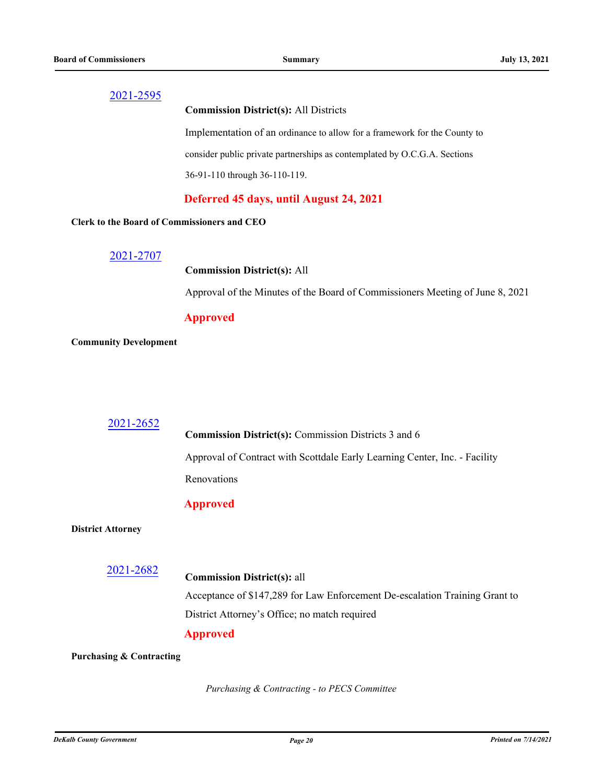#### **Commission District(s):** All Districts

Implementation of an ordinance to allow for a framework for the County to consider public private partnerships as contemplated by O.C.G.A. Sections 36-91-110 through 36-110-119.

## **Deferred 45 days, until August 24, 2021**

#### **Clerk to the Board of Commissioners and CEO**

[2021-2707](http://dekalbcountyga.legistar.com/gateway.aspx?m=l&id=/matter.aspx?key=8943)

#### **Commission District(s):** All

Approval of the Minutes of the Board of Commissioners Meeting of June 8, 2021

#### **Approved**

#### **Community Development**

#### 2021-2652

**Commission District(s):** Commission Districts 3 and 6

Approval of Contract with Scottdale Early Learning Center, Inc. - Facility

Renovations

#### **Approved**

#### **District Attorney**

[2021-2682](http://dekalbcountyga.legistar.com/gateway.aspx?m=l&id=/matter.aspx?key=8918)

**Commission District(s):** all

Acceptance of \$147,289 for Law Enforcement De-escalation Training Grant to District Attorney's Office; no match required

## **Approved**

#### **Purchasing & Contracting**

*Purchasing & Contracting - to PECS Committee*